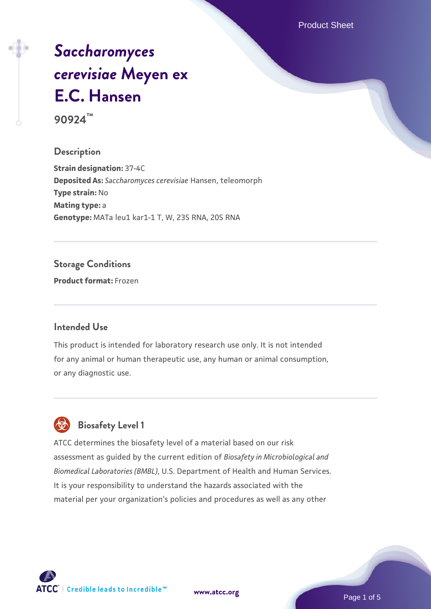Product Sheet

# *[Saccharomyces](https://www.atcc.org/products/90924) [cerevisiae](https://www.atcc.org/products/90924)* **[Meyen ex](https://www.atcc.org/products/90924) [E.C. Hansen](https://www.atcc.org/products/90924)**

**90924™**

#### **Description**

**Strain designation:** 37-4C **Deposited As:** *Saccharomyces cerevisiae* Hansen, teleomorph **Type strain:** No **Mating type:** a **Genotype:** MATa leu1 kar1-1 T, W, 23S RNA, 20S RNA

#### **Storage Conditions**

**Product format:** Frozen

#### **Intended Use**

This product is intended for laboratory research use only. It is not intended for any animal or human therapeutic use, any human or animal consumption, or any diagnostic use.



### **Biosafety Level 1**

ATCC determines the biosafety level of a material based on our risk assessment as guided by the current edition of *Biosafety in Microbiological and Biomedical Laboratories (BMBL)*, U.S. Department of Health and Human Services. It is your responsibility to understand the hazards associated with the material per your organization's policies and procedures as well as any other



**[www.atcc.org](http://www.atcc.org)**

Page 1 of 5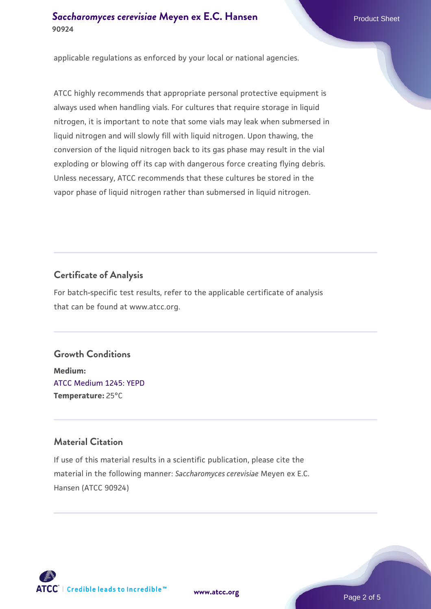#### **[Saccharomyces cerevisiae](https://www.atcc.org/products/90924)** [Meyen ex E.C. Hansen](https://www.atcc.org/products/90924) **90924**

applicable regulations as enforced by your local or national agencies.

ATCC highly recommends that appropriate personal protective equipment is always used when handling vials. For cultures that require storage in liquid nitrogen, it is important to note that some vials may leak when submersed in liquid nitrogen and will slowly fill with liquid nitrogen. Upon thawing, the conversion of the liquid nitrogen back to its gas phase may result in the vial exploding or blowing off its cap with dangerous force creating flying debris. Unless necessary, ATCC recommends that these cultures be stored in the vapor phase of liquid nitrogen rather than submersed in liquid nitrogen.

#### **Certificate of Analysis**

For batch-specific test results, refer to the applicable certificate of analysis that can be found at www.atcc.org.

#### **Growth Conditions**

**Medium:**  [ATCC Medium 1245: YEPD](https://www.atcc.org/-/media/product-assets/documents/microbial-media-formulations/1/2/4/5/atcc-medium-1245.pdf?rev=705ca55d1b6f490a808a965d5c072196) **Temperature:** 25°C

#### **Material Citation**

If use of this material results in a scientific publication, please cite the material in the following manner: *Saccharomyces cerevisiae* Meyen ex E.C. Hansen (ATCC 90924)



**[www.atcc.org](http://www.atcc.org)**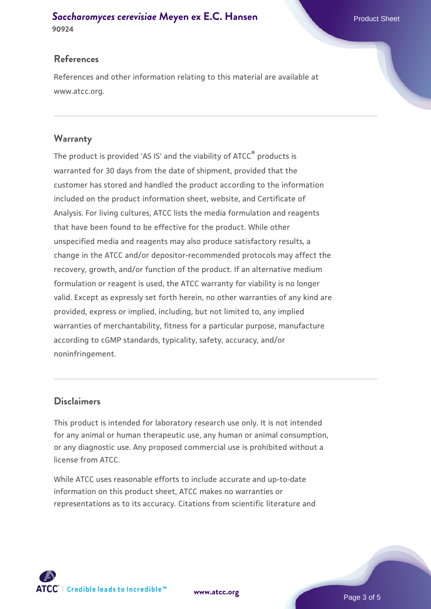#### **[Saccharomyces cerevisiae](https://www.atcc.org/products/90924)** [Meyen ex E.C. Hansen](https://www.atcc.org/products/90924) **90924**

#### **References**

References and other information relating to this material are available at www.atcc.org.

#### **Warranty**

The product is provided 'AS IS' and the viability of ATCC® products is warranted for 30 days from the date of shipment, provided that the customer has stored and handled the product according to the information included on the product information sheet, website, and Certificate of Analysis. For living cultures, ATCC lists the media formulation and reagents that have been found to be effective for the product. While other unspecified media and reagents may also produce satisfactory results, a change in the ATCC and/or depositor-recommended protocols may affect the recovery, growth, and/or function of the product. If an alternative medium formulation or reagent is used, the ATCC warranty for viability is no longer valid. Except as expressly set forth herein, no other warranties of any kind are provided, express or implied, including, but not limited to, any implied warranties of merchantability, fitness for a particular purpose, manufacture according to cGMP standards, typicality, safety, accuracy, and/or noninfringement.

#### **Disclaimers**

This product is intended for laboratory research use only. It is not intended for any animal or human therapeutic use, any human or animal consumption, or any diagnostic use. Any proposed commercial use is prohibited without a license from ATCC.

While ATCC uses reasonable efforts to include accurate and up-to-date information on this product sheet, ATCC makes no warranties or representations as to its accuracy. Citations from scientific literature and

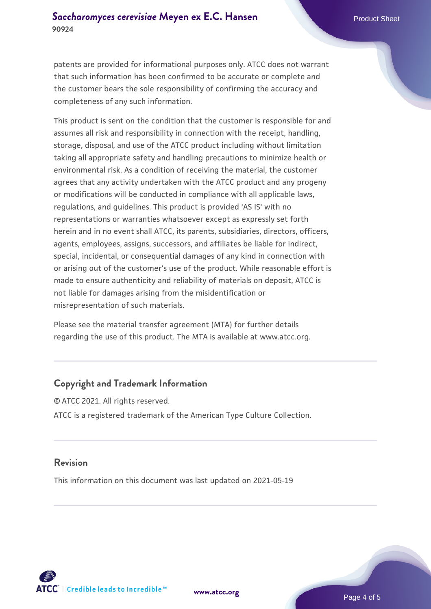patents are provided for informational purposes only. ATCC does not warrant that such information has been confirmed to be accurate or complete and the customer bears the sole responsibility of confirming the accuracy and completeness of any such information.

This product is sent on the condition that the customer is responsible for and assumes all risk and responsibility in connection with the receipt, handling, storage, disposal, and use of the ATCC product including without limitation taking all appropriate safety and handling precautions to minimize health or environmental risk. As a condition of receiving the material, the customer agrees that any activity undertaken with the ATCC product and any progeny or modifications will be conducted in compliance with all applicable laws, regulations, and guidelines. This product is provided 'AS IS' with no representations or warranties whatsoever except as expressly set forth herein and in no event shall ATCC, its parents, subsidiaries, directors, officers, agents, employees, assigns, successors, and affiliates be liable for indirect, special, incidental, or consequential damages of any kind in connection with or arising out of the customer's use of the product. While reasonable effort is made to ensure authenticity and reliability of materials on deposit, ATCC is not liable for damages arising from the misidentification or misrepresentation of such materials.

Please see the material transfer agreement (MTA) for further details regarding the use of this product. The MTA is available at www.atcc.org.

#### **Copyright and Trademark Information**

© ATCC 2021. All rights reserved. ATCC is a registered trademark of the American Type Culture Collection.

#### **Revision**

This information on this document was last updated on 2021-05-19



**[www.atcc.org](http://www.atcc.org)**

Page 4 of 5